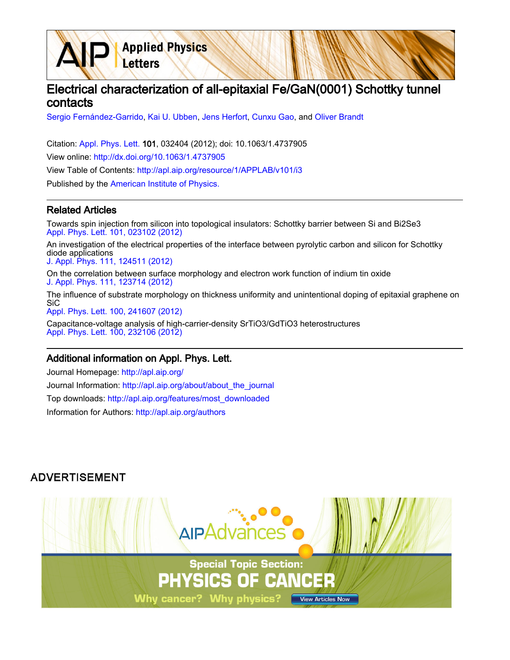# Electrical characterization of all-epitaxial Fe/GaN(0001) Schottky tunnel contacts

[Sergio Fernández-Garrido](http://apl.aip.org/search?sortby=newestdate&q=&searchzone=2&searchtype=searchin&faceted=faceted&key=AIP_ALL&possible1=Sergio Fern�ndez-Garrido&possible1zone=author&alias=&displayid=AIP&ver=pdfcov), [Kai U. Ubben](http://apl.aip.org/search?sortby=newestdate&q=&searchzone=2&searchtype=searchin&faceted=faceted&key=AIP_ALL&possible1=Kai U. Ubben&possible1zone=author&alias=&displayid=AIP&ver=pdfcov), [Jens Herfort](http://apl.aip.org/search?sortby=newestdate&q=&searchzone=2&searchtype=searchin&faceted=faceted&key=AIP_ALL&possible1=Jens Herfort&possible1zone=author&alias=&displayid=AIP&ver=pdfcov), [Cunxu Gao](http://apl.aip.org/search?sortby=newestdate&q=&searchzone=2&searchtype=searchin&faceted=faceted&key=AIP_ALL&possible1=Cunxu Gao&possible1zone=author&alias=&displayid=AIP&ver=pdfcov), and [Oliver Brandt](http://apl.aip.org/search?sortby=newestdate&q=&searchzone=2&searchtype=searchin&faceted=faceted&key=AIP_ALL&possible1=Oliver Brandt&possible1zone=author&alias=&displayid=AIP&ver=pdfcov)

Citation: [Appl. Phys. Lett. 1](http://apl.aip.org/?ver=pdfcov)01, 032404 (2012); doi: 10.1063/1.4737905 View online: [http://dx.doi.org/10.1063/1.4737905](http://link.aip.org/link/doi/10.1063/1.4737905?ver=pdfcov) View Table of Contents: [http://apl.aip.org/resource/1/APPLAB/v101/i3](http://apl.aip.org/resource/1/APPLAB/v101/i3?ver=pdfcov) Published by the [American Institute of Physics.](http://www.aip.org/?ver=pdfcov)

**Applied Physics** 

Letters

#### Related Articles

Towards spin injection from silicon into topological insulators: Schottky barrier between Si and Bi2Se3 [Appl. Phys. Lett. 101, 023102 \(2012\)](http://link.aip.org/link/doi/10.1063/1.4733388?ver=pdfcov)

An investigation of the electrical properties of the interface between pyrolytic carbon and silicon for Schottky diode applications [J. Appl. Phys. 111, 124511 \(2012\)](http://link.aip.org/link/doi/10.1063/1.4725429?ver=pdfcov)

On the correlation between surface morphology and electron work function of indium tin oxide [J. Appl. Phys. 111, 123714 \(2012\)](http://link.aip.org/link/doi/10.1063/1.4730388?ver=pdfcov)

The influence of substrate morphology on thickness uniformity and unintentional doping of epitaxial graphene on SiC [Appl. Phys. Lett. 100, 241607 \(2012\)](http://link.aip.org/link/doi/10.1063/1.4729556?ver=pdfcov)

Capacitance-voltage analysis of high-carrier-density SrTiO3/GdTiO3 heterostructures [Appl. Phys. Lett. 100, 232106 \(2012\)](http://link.aip.org/link/doi/10.1063/1.4726263?ver=pdfcov)

#### Additional information on Appl. Phys. Lett.

Journal Homepage: [http://apl.aip.org/](http://apl.aip.org/?ver=pdfcov) Journal Information: [http://apl.aip.org/about/about\\_the\\_journal](http://apl.aip.org/about/about_the_journal?ver=pdfcov) Top downloads: [http://apl.aip.org/features/most\\_downloaded](http://apl.aip.org/features/most_downloaded?ver=pdfcov) Information for Authors: [http://apl.aip.org/authors](http://apl.aip.org/authors?ver=pdfcov)

### **ADVERTISEMENT**

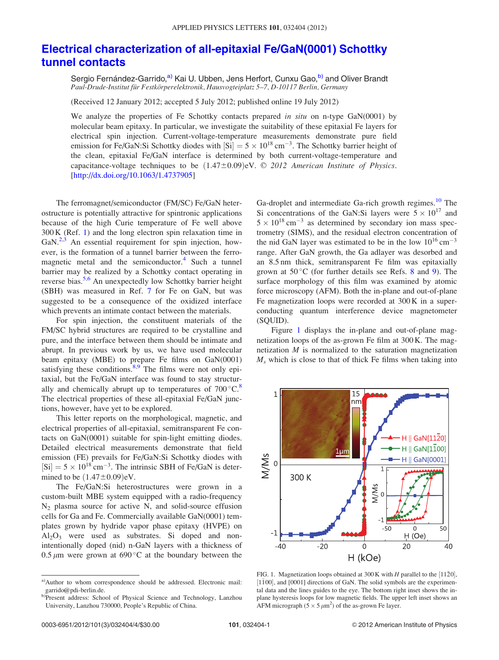## <span id="page-1-0"></span>[Electrical characterization of all-epitaxial Fe/GaN\(0001\) Schottky](http://dx.doi.org/10.1063/1.4737905) [tunnel contacts](http://dx.doi.org/10.1063/1.4737905)

Sergio Fernández-Garrido,<sup>a)</sup> Kai U. Ubben, Jens Herfort, Cunxu Gao, b) and Oliver Brandt Paul-Drude-Institut für Festkörperelektronik, Hausvogteiplatz 5-7, D-10117 Berlin, Germany

(Received 12 January 2012; accepted 5 July 2012; published online 19 July 2012)

We analyze the properties of Fe Schottky contacts prepared in situ on n-type GaN(0001) by molecular beam epitaxy. In particular, we investigate the suitability of these epitaxial Fe layers for electrical spin injection. Current-voltage-temperature measurements demonstrate pure field emission for Fe/GaN:Si Schottky diodes with  $\text{[Si]} = 5 \times 10^{18} \text{ cm}^{-3}$ . The Schottky barrier height of the clean, epitaxial Fe/GaN interface is determined by both current-voltage-temperature and capacitance-voltage techniques to be  $(1.47\pm0.09)$ eV.  $\odot$  2012 American Institute of Physics. [\[http://dx.doi.org/10.1063/1.4737905](http://dx.doi.org/10.1063/1.4737905)]

The ferromagnet/semiconductor (FM/SC) Fe/GaN heterostructure is potentially attractive for spintronic applications because of the high Curie temperature of Fe well above 300 K (Ref. [1\)](#page-4-0) and the long electron spin relaxation time in  $GaN<sup>2,3</sup>$  $GaN<sup>2,3</sup>$  $GaN<sup>2,3</sup>$  An essential requirement for spin injection, however, is the formation of a tunnel barrier between the ferro-magnetic metal and the semiconductor.<sup>[4](#page-4-0)</sup> Such a tunnel barrier may be realized by a Schottky contact operating in reverse bias.<sup>[5,6](#page-4-0)</sup> An unexpectedly low Schottky barrier height (SBH) was measured in Ref. [7](#page-4-0) for Fe on GaN, but was suggested to be a consequence of the oxidized interface which prevents an intimate contact between the materials.

For spin injection, the constituent materials of the FM/SC hybrid structures are required to be crystalline and pure, and the interface between them should be intimate and abrupt. In previous work by us, we have used molecular beam epitaxy (MBE) to prepare Fe films on GaN(0001) satisfying these conditions. $8.9$  The films were not only epitaxial, but the Fe/GaN interface was found to stay structurally and chemically abrupt up to temperatures of  $700^{\circ}$ C.<sup>8</sup> The electrical properties of these all-epitaxial Fe/GaN junctions, however, have yet to be explored.

This letter reports on the morphological, magnetic, and electrical properties of all-epitaxial, semitransparent Fe contacts on GaN(0001) suitable for spin-light emitting diodes. Detailed electrical measurements demonstrate that field emission (FE) prevails for Fe/GaN:Si Schottky diodes with  $[Si] = 5 \times 10^{18}$  cm<sup>-3</sup>. The intrinsic SBH of Fe/GaN is determined to be  $(1.47\pm0.09)$ eV.

The Fe/GaN:Si heterostructures were grown in a custom-built MBE system equipped with a radio-frequency  $N_2$  plasma source for active N, and solid-source effusion cells for Ga and Fe. Commercially available GaN(0001) templates grown by hydride vapor phase epitaxy (HVPE) on  $Al_2O_3$  were used as substrates. Si doped and nonintentionally doped (nid) n-GaN layers with a thickness of 0.5  $\mu$ m were grown at 690 °C at the boundary between the

Ga-droplet and intermediate Ga-rich growth regimes.<sup>[10](#page-4-0)</sup> The Si concentrations of the GaN:Si layers were  $5 \times 10^{17}$  and  $5 \times 10^{18}$  cm<sup>-3</sup> as determined by secondary ion mass spectrometry (SIMS), and the residual electron concentration of the nid GaN layer was estimated to be in the low  $10^{16}$  cm<sup>-3</sup> range. After GaN growth, the Ga adlayer was desorbed and an 8.5 nm thick, semitransparent Fe film was epitaxially grown at  $50^{\circ}$ C (for further details see Refs. [8](#page-4-0) and [9\)](#page-4-0). The surface morphology of this film was examined by atomic force microscopy (AFM). Both the in-plane and out-of-plane Fe magnetization loops were recorded at 300 K in a superconducting quantum interference device magnetometer (SQUID).

Figure 1 displays the in-plane and out-of-plane magnetization loops of the as-grown Fe film at 300 K. The magnetization M is normalized to the saturation magnetization  $M<sub>s</sub>$  which is close to that of thick Fe films when taking into



FIG. 1. Magnetization loops obtained at 300 K with H parallel to the  $[11\bar{2}0]$ ,  $[1\bar{1}00]$ , and  $[0001]$  directions of GaN. The solid symbols are the experimental data and the lines guides to the eye. The bottom right inset shows the inplane hysteresis loops for low magnetic fields. The upper left inset shows an AFM micrograph  $(5 \times 5 \mu m^2)$  of the as-grown Fe layer.

a)Author to whom correspondence should be addressed. Electronic mail: garrido@pdi-berlin.de.

b)Present address: School of Physical Science and Technology, Lanzhou University, Lanzhou 730000, People's Republic of China.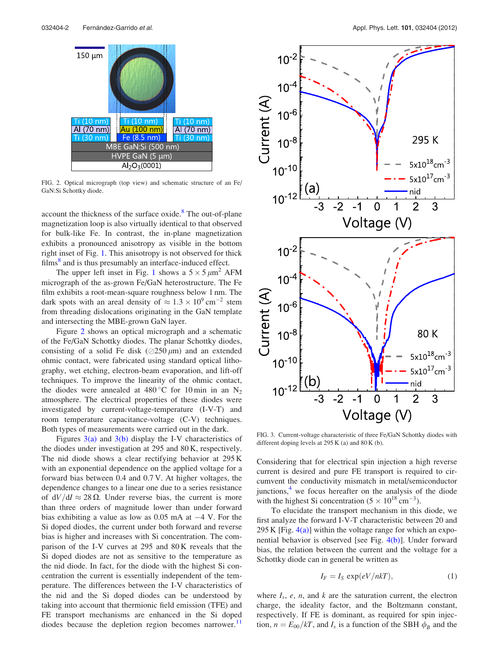<span id="page-2-0"></span>

FIG. 2. Optical micrograph (top view) and schematic structure of an Fe/ GaN:Si Schottky diode.

account the thickness of the surface oxide. $8$  The out-of-plane magnetization loop is also virtually identical to that observed for bulk-like Fe. In contrast, the in-plane magnetization exhibits a pronounced anisotropy as visible in the bottom right inset of Fig. [1.](#page-1-0) This anisotropy is not observed for thick films $\delta$  and is thus presumably an interface-induced effect.

The upper left inset in Fig. [1](#page-1-0) shows a  $5 \times 5 \mu m^2$  AFM micrograph of the as-grown Fe/GaN heterostructure. The Fe film exhibits a root-mean-square roughness below 1 nm. The dark spots with an areal density of  $\approx 1.3 \times 10^9$  cm<sup>-2</sup> stem from threading dislocations originating in the GaN template and intersecting the MBE-grown GaN layer.

Figure 2 shows an optical micrograph and a schematic of the Fe/GaN Schottky diodes. The planar Schottky diodes, consisting of a solid Fe disk ( $\oslash$ 250  $\mu$ m) and an extended ohmic contact, were fabricated using standard optical lithography, wet etching, electron-beam evaporation, and lift-off techniques. To improve the linearity of the ohmic contact, the diodes were annealed at 480 °C for 10 min in an  $N_2$ atmosphere. The electrical properties of these diodes were investigated by current-voltage-temperature (I-V-T) and room temperature capacitance-voltage (C-V) techniques. Both types of measurements were carried out in the dark.

Figures  $3(a)$  and  $3(b)$  display the I-V characteristics of the diodes under investigation at 295 and 80 K, respectively. The nid diode shows a clear rectifying behavior at 295 K with an exponential dependence on the applied voltage for a forward bias between 0.4 and 0.7 V. At higher voltages, the dependence changes to a linear one due to a series resistance of  $dV/dI \approx 28 \Omega$ . Under reverse bias, the current is more than three orders of magnitude lower than under forward bias exhibiting a value as low as  $0.05$  mA at  $-4$  V. For the Si doped diodes, the current under both forward and reverse bias is higher and increases with Si concentration. The comparison of the I-V curves at 295 and 80 K reveals that the Si doped diodes are not as sensitive to the temperature as the nid diode. In fact, for the diode with the highest Si concentration the current is essentially independent of the temperature. The differences between the I-V characteristics of the nid and the Si doped diodes can be understood by taking into account that thermionic field emission (TFE) and FE transport mechanisms are enhanced in the Si doped diodes because the depletion region becomes narrower.<sup>[11](#page-4-0)</sup>



FIG. 3. Current-voltage characteristic of three Fe/GaN Schottky diodes with different doping levels at  $295 K$  (a) and  $80 K$  (b).

Considering that for electrical spin injection a high reverse current is desired and pure FE transport is required to circumvent the conductivity mismatch in metal/semiconductor junctions, $<sup>4</sup>$  $<sup>4</sup>$  $<sup>4</sup>$  we focus hereafter on the analysis of the diode</sup> with the highest Si concentration  $(5 \times 10^{18} \text{ cm}^{-3})$ .

To elucidate the transport mechanism in this diode, we first analyze the forward I-V-T characteristic between 20 and 295 K [Fig.  $4(a)$ ] within the voltage range for which an exponential behavior is observed [see Fig. [4\(b\)](#page-3-0)]. Under forward bias, the relation between the current and the voltage for a Schottky diode can in general be written as

$$
I_F = I_S \exp(eV/nkT), \tag{1}
$$

where  $I_s$ , e, n, and k are the saturation current, the electron charge, the ideality factor, and the Boltzmann constant, respectively. If FE is dominant, as required for spin injection,  $n = E_{00}/kT$ , and  $I_s$  is a function of the SBH  $\phi_B$  and the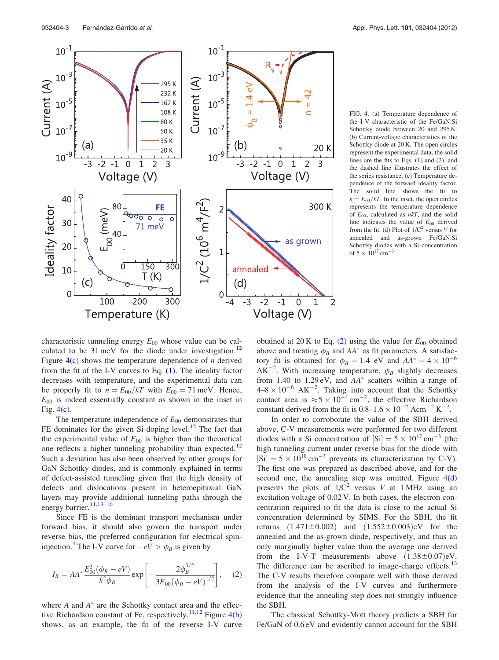<span id="page-3-0"></span>

FIG. 4. (a) Temperature dependence of the I-V characteristic of the Fe/GaN:Si Schottky diode between 20 and 295 K. (b) Current-voltage characteristics of the Schottky diode at 20 K. The open circles represent the experimental data, the solid lines are the fits to Eqs. [\(1\)](#page-2-0) and (2), and the dashed line illustrates the effect of the series resistance. (c) Temperature dependence of the forward ideality factor. The solid line shows the fit to  $n = E_{00}/kT$ . In the inset, the open circles represents the temperature dependence of  $E_{00}$ , calculated as  $nkT$ , and the solid line indicates the value of  $E_{00}$  derived from the fit. (d) Plot of  $1/C^2$  versus V for annealed and as-grown Fe/GaN:Si Schottky diodes with a Si concentration of  $5 \times 10^{17}$  cm<sup>-3</sup>.

characteristic tunneling energy  $E_{00}$  whose value can be calculated to be  $31 \text{ meV}$  for the diode under investigation.<sup>12</sup> Figure  $4(c)$  shows the temperature dependence of *n* derived from the fit of the I-V curves to Eq.  $(1)$ . The ideality factor decreases with temperature, and the experimental data can be properly fit to  $n = E_{00}/kT$  with  $E_{00} = 71$  meV. Hence,  $E_{00}$  is indeed essentially constant as shown in the inset in Fig. 4(c).

The temperature independence of  $E_{00}$  demonstrates that FE dominates for the given Si doping level. $12$  The fact that the experimental value of  $E_{00}$  is higher than the theoretical one reflects a higher tunneling probability than expected.<sup>[12](#page-4-0)</sup> Such a deviation has also been observed by other groups for GaN Schottky diodes, and is commonly explained in terms of defect-assisted tunneling given that the high density of defects and dislocations present in heteroepitaxial GaN layers may provide additional tunneling paths through the energy barrier.<sup>11,13-16</sup>

Since FE is the dominant transport mechanism under forward bias, it should also govern the transport under reverse bias, the preferred configuration for electrical spin-injection.<sup>[4](#page-4-0)</sup> The I-V curve for  $-eV > \phi_B$  is given by

$$
I_R = AA^* \frac{E_{00}^2(\phi_B - eV)}{k^2 \phi_B} \exp \left[ -\frac{2\phi_B^{3/2}}{3E_{00}(\phi_B - eV)^{1/2}} \right], \quad (2)
$$

where  $A$  and  $A^*$  are the Schottky contact area and the effec-tive Richardson constant of Fe, respectively.<sup>[11](#page-4-0),[12](#page-4-0)</sup> Figure  $4(b)$ shows, as an example, the fit of the reverse I-V curve

obtained at 20 K to Eq. (2) using the value for  $E_{00}$  obtained above and treating  $\phi_B$  and  $AA^*$  as fit parameters. A satisfactory fit is obtained for  $\phi_B = 1.4$  eV and  $AA^* = 4 \times 10^{-6}$  $AK^{-2}$ . With increasing temperature,  $\phi_B$  slightly decreases from 1.40 to 1.29 eV, and  $AA^*$  scatters within a range of  $4-8 \times 10^{-6}$  AK<sup>-2</sup>. Taking into account that the Schottky contact area is  $\approx$  5  $\times$  10<sup>-4</sup> cm<sup>-2</sup>, the effective Richardson constant derived from the fit is  $0.8-1.6 \times 10^{-2}$  Acm<sup>-2</sup> K<sup>-2</sup>.

In order to corroborate the value of the SBH derived above, C-V measurements were performed for two different diodes with a Si concentration of  $\left[ Si\right] = 5 \times 10^{17}$  cm<sup>-3</sup> (the high tunneling current under reverse bias for the diode with  $[Si] = 5 \times 10^{18}$  cm<sup>-3</sup> prevents its characterization by C-V). The first one was prepared as described above, and for the second one, the annealing step was omitted. Figure  $4(d)$ presents the plots of  $1/C^2$  versus V at 1 MHz using an excitation voltage of 0.02 V. In both cases, the electron concentration required to fit the data is close to the actual Si concentration determined by SIMS. For the SBH, the fit returns  $(1.471 \pm 0.002)$  and  $(1.552 \pm 0.003)$ eV for the annealed and the as-grown diode, respectively, and thus an only marginally higher value than the average one derived from the I-V-T measurements above  $(1.38\pm0.07)$ eV. The difference can be ascribed to image-charge effects.<sup>[13](#page-4-0)</sup> The C-V results therefore compare well with those derived from the analysis of the I-V curves and furthermore evidence that the annealing step does not strongly influence the SBH.

The classical Schottky-Mott theory predicts a SBH for Fe/GaN of 0.6 eV and evidently cannot account for the SBH